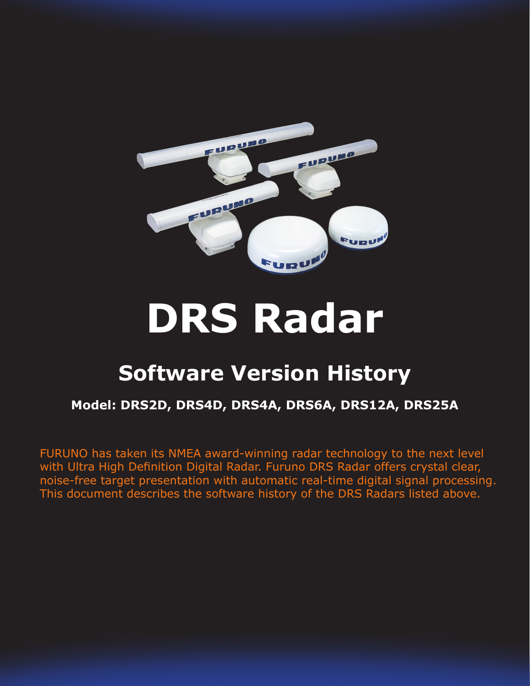

# **DRS Radar**

## **Software Version History**

#### **Model: DRS2D, DRS4D, DRS4A, DRS6A, DRS12A, DRS25A**

FURUNO has taken its NMEA award-winning radar technology to the next level with Ultra High Definition Digital Radar. Furuno DRS Radar offers crystal clear, noise-free target presentation with automatic real-time digital signal processing. This document describes the software history of the DRS Radars listed above.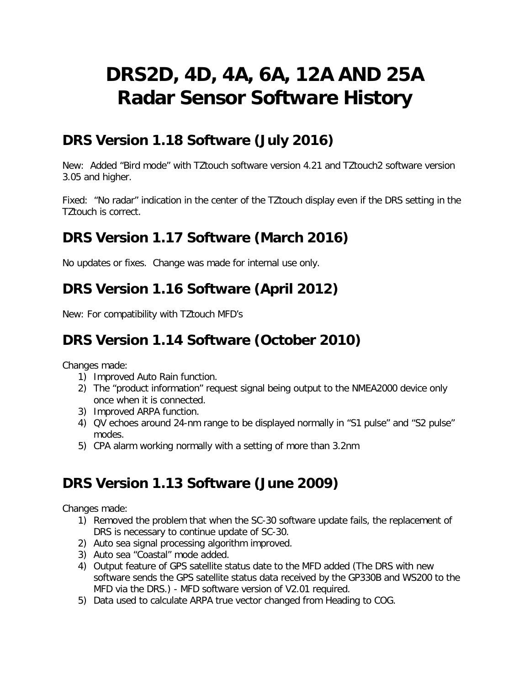## **DRS2D, 4D, 4A, 6A, 12A AND 25A Radar Sensor Software History**

#### **DRS Version 1.18 Software (July 2016)**

New: Added "Bird mode" with TZtouch software version 4.21 and TZtouch2 software version 3.05 and higher.

Fixed: "No radar" indication in the center of the TZtouch display even if the DRS setting in the TZtouch is correct.

#### **DRS Version 1.17 Software (March 2016)**

No updates or fixes. Change was made for internal use only.

#### **DRS Version 1.16 Software (April 2012)**

New: For compatibility with TZtouch MFD's

### **DRS Version 1.14 Software (October 2010)**

Changes made:

- 1) Improved Auto Rain function.
- 2) The "product information" request signal being output to the NMEA2000 device only once when it is connected.
- 3) Improved ARPA function.
- 4) QV echoes around 24-nm range to be displayed normally in "S1 pulse" and "S2 pulse" modes.
- 5) CPA alarm working normally with a setting of more than 3.2nm

#### **DRS Version 1.13 Software (June 2009)**

Changes made:

- 1) Removed the problem that when the SC-30 software update fails, the replacement of DRS is necessary to continue update of SC-30.
- 2) Auto sea signal processing algorithm improved.
- 3) Auto sea "Coastal" mode added.
- 4) Output feature of GPS satellite status date to the MFD added (The DRS with new software sends the GPS satellite status data received by the GP330B and WS200 to the MFD via the DRS.) - MFD software version of V2.01 required.
- 5) Data used to calculate ARPA true vector changed from Heading to COG.